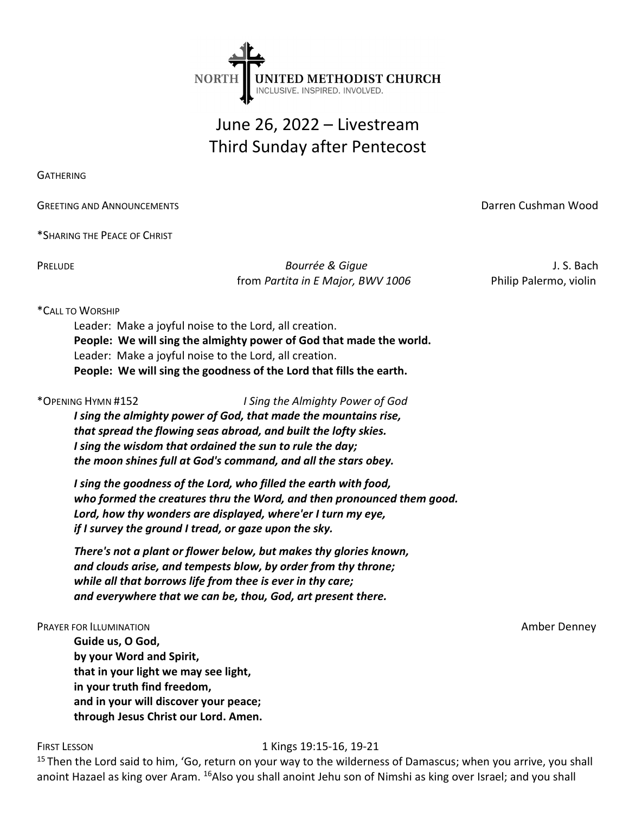

# June 26, 2022 – Livestream Third Sunday after Pentecost

**GATHERING** 

**GREETING AND ANNOUNCEMENTS GREETING AND ANNOUNCEMENTS DATE: Darren Cushman Wood** 

\*SHARING THE PEACE OF CHRIST

PRELUDE **Bourrée & Gigue Access Access** Access Access Access Access Access Access Access Access Access Access Access Access Access Access Access Access Access Access Access Access Access Access Access Access Access Access from Partita in E Major, BWV 1006 Philip Palermo, violin

## \*CALL TO WORSHIP

Leader: Make a joyful noise to the Lord, all creation. People: We will sing the almighty power of God that made the world. Leader: Make a joyful noise to the Lord, all creation. People: We will sing the goodness of the Lord that fills the earth.

\*OPENING HYMN #152 I Sing the Almighty Power of God I sing the almighty power of God, that made the mountains rise, that spread the flowing seas abroad, and built the lofty skies.

I sing the wisdom that ordained the sun to rule the day; the moon shines full at God's command, and all the stars obey.

I sing the goodness of the Lord, who filled the earth with food, who formed the creatures thru the Word, and then pronounced them good. Lord, how thy wonders are displayed, where'er I turn my eye, if I survey the ground I tread, or gaze upon the sky.

There's not a plant or flower below, but makes thy glories known, and clouds arise, and tempests blow, by order from thy throne; while all that borrows life from thee is ever in thy care; and everywhere that we can be, thou, God, art present there.

### **PRAYER FOR ILLUMINATION Amber Denney**

Guide us, O God, by your Word and Spirit, that in your light we may see light, in your truth find freedom, and in your will discover your peace; through Jesus Christ our Lord. Amen.

# FIRST LESSON 1 Kings 19:15-16, 19-21

<sup>15</sup> Then the Lord said to him, 'Go, return on your way to the wilderness of Damascus; when you arrive, you shall anoint Hazael as king over Aram. <sup>16</sup>Also you shall anoint Jehu son of Nimshi as king over Israel; and you shall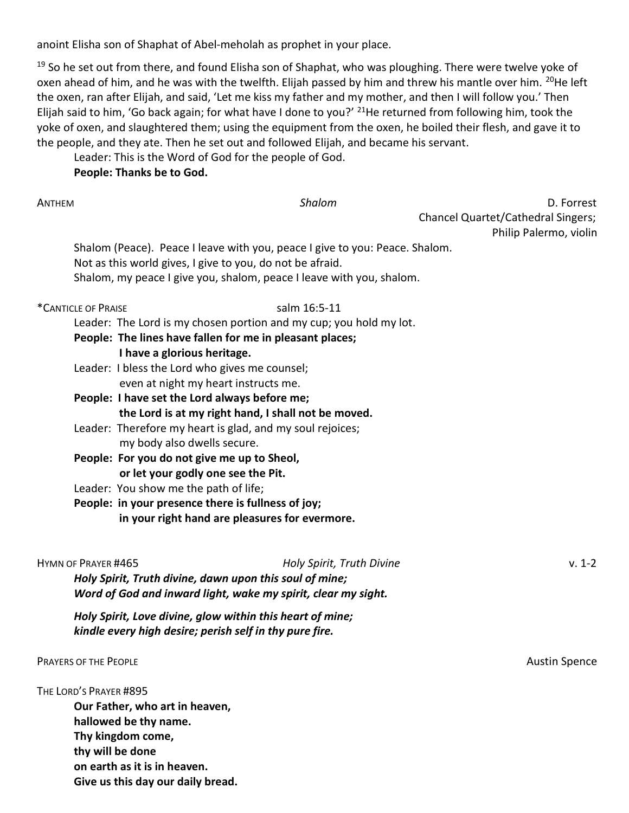anoint Elisha son of Shaphat of Abel-meholah as prophet in your place.

<sup>19</sup> So he set out from there, and found Elisha son of Shaphat, who was ploughing. There were twelve yoke of oxen ahead of him, and he was with the twelfth. Elijah passed by him and threw his mantle over him. <sup>20</sup>He left the oxen, ran after Elijah, and said, 'Let me kiss my father and my mother, and then I will follow you.' Then Elijah said to him, 'Go back again; for what have I done to you?' <sup>21</sup>He returned from following him, took the yoke of oxen, and slaughtered them; using the equipment from the oxen, he boiled their flesh, and gave it to the people, and they ate. Then he set out and followed Elijah, and became his servant.

Leader: This is the Word of God for the people of God.

People: Thanks be to God.

ANTHEM **EXAMPLE 2018 CONTROLLER SHALL CONTROLLER SHALL CONTROLLER SHALL CONTROLLER SHALL CONTROLLER SHALL CONTROLLER SHALL CONTROLLER SHALL CONTROLLER SHALL CONTROLLER SHALL CONTROLLER SHALL CONTROLLER SHALL CONTROLLER SHA**  Chancel Quartet/Cathedral Singers; Philip Palermo, violin

Shalom (Peace). Peace I leave with you, peace I give to you: Peace. Shalom. Not as this world gives, I give to you, do not be afraid. Shalom, my peace I give you, shalom, peace I leave with you, shalom.

\*CANTICLE OF PRAISE salm 16:5-11

Leader: The Lord is my chosen portion and my cup; you hold my lot.

- People: The lines have fallen for me in pleasant places; I have a glorious heritage.
	-
- Leader: I bless the Lord who gives me counsel; even at night my heart instructs me.
- People: I have set the Lord always before me; the Lord is at my right hand, I shall not be moved.
- Leader: Therefore my heart is glad, and my soul rejoices; my body also dwells secure.
- People: For you do not give me up to Sheol, or let your godly one see the Pit.
- Leader: You show me the path of life;
- People: in your presence there is fullness of joy; in your right hand are pleasures for evermore.

HYMN OF PRAYER #465 V. 1-2 Holy Spirit, Truth divine, dawn upon this soul of mine; Word of God and inward light, wake my spirit, clear my sight. Holy Spirit, Love divine, glow within this heart of mine;

kindle every high desire; perish self in thy pure fire.

PRAYERS OF THE PEOPLE **Austin Spence** Austin Spence Austin Spence Austin Spence Austin Spence

THE LORD'S PRAYER #895

Our Father, who art in heaven, hallowed be thy name. Thy kingdom come, thy will be done on earth as it is in heaven. Give us this day our daily bread.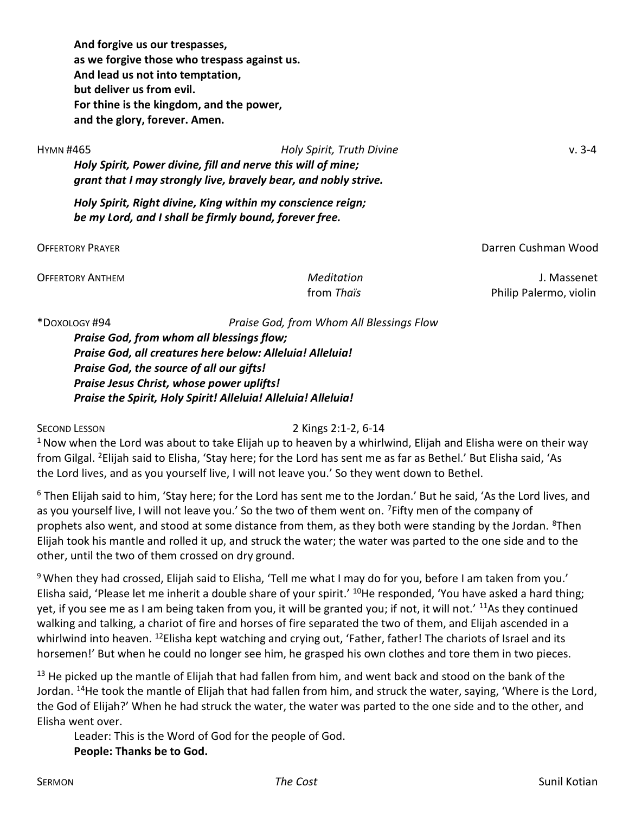And forgive us our trespasses, as we forgive those who trespass against us. And lead us not into temptation, but deliver us from evil. For thine is the kingdom, and the power, and the glory, forever. Amen.

HYMN #465 Holy Spirit, Truth Divine v. 3-4 Holy Spirit, Power divine, fill and nerve this will of mine; grant that I may strongly live, bravely bear, and nobly strive.

Holy Spirit, Right divine, King within my conscience reign; be my Lord, and I shall be firmly bound, forever free.

OFFERTORY PRAYER Darren Cushman Wood

OFFERTORY ANTHEM Meditation J. Massenet from Thaïs **Philip Palermo**, violin

\*DOXOLOGY #94 Praise God, from Whom All Blessings Flow

Praise God, from whom all blessings flow; Praise God, all creatures here below: Alleluia! Alleluia! Praise God, the source of all our gifts! Praise Jesus Christ, whose power uplifts! Praise the Spirit, Holy Spirit! Alleluia! Alleluia! Alleluia!

SECOND LESSON 2 Kings 2:1-2, 6-14

 $1$  Now when the Lord was about to take Elijah up to heaven by a whirlwind, Elijah and Elisha were on their way from Gilgal. <sup>2</sup>Elijah said to Elisha, 'Stay here; for the Lord has sent me as far as Bethel.' But Elisha said, 'As the Lord lives, and as you yourself live, I will not leave you.' So they went down to Bethel.

<sup>6</sup> Then Elijah said to him, 'Stay here; for the Lord has sent me to the Jordan.' But he said, 'As the Lord lives, and as you yourself live, I will not leave you.' So the two of them went on. <sup>7</sup> Fifty men of the company of prophets also went, and stood at some distance from them, as they both were standing by the Jordan. <sup>8</sup>Then Elijah took his mantle and rolled it up, and struck the water; the water was parted to the one side and to the other, until the two of them crossed on dry ground.

9 When they had crossed, Elijah said to Elisha, 'Tell me what I may do for you, before I am taken from you.' Elisha said, 'Please let me inherit a double share of your spirit.' <sup>10</sup>He responded, 'You have asked a hard thing; yet, if you see me as I am being taken from you, it will be granted you; if not, it will not.' <sup>11</sup>As they continued walking and talking, a chariot of fire and horses of fire separated the two of them, and Elijah ascended in a whirlwind into heaven. <sup>12</sup>Elisha kept watching and crying out, 'Father, father! The chariots of Israel and its horsemen!' But when he could no longer see him, he grasped his own clothes and tore them in two pieces.

 $13$  He picked up the mantle of Elijah that had fallen from him, and went back and stood on the bank of the Jordan. <sup>14</sup>He took the mantle of Elijah that had fallen from him, and struck the water, saying, 'Where is the Lord, the God of Elijah?' When he had struck the water, the water was parted to the one side and to the other, and Elisha went over.

Leader: This is the Word of God for the people of God. People: Thanks be to God.